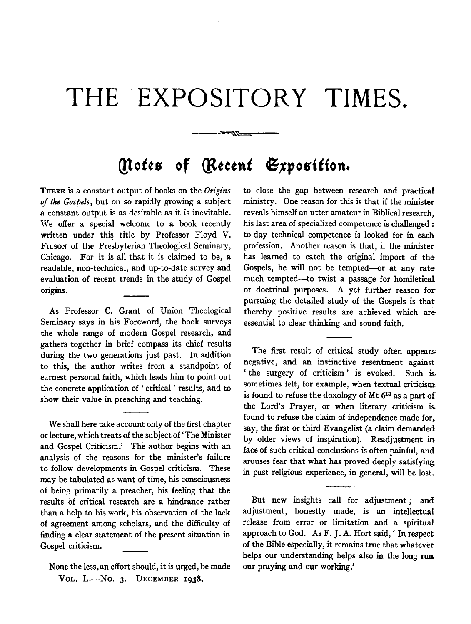## **THE EXPOSITORY TIMES.**

----'~~

## *(!lotts* **of** *(lttctnt* **G,rposition.**

THERE is a constant output of books on the *Origins of the Gospels,* but on so rapidly growing a subject a constant output is as desirable as it is inevitable. We offer a special welcome to a book recently written under this title by Professor Floyd V. FILSON of the Presbyterian Theological Seminary, Chicago. For it is all that it is claimed to be, a readable, non-technical, and up-to-date survey and evaluation of recent trends in the study of Gospel origins.

As Professor C. Grant of Union Theological Seminary says in his Foreword, the book surveys the whole range of modern Gospel research, and gathers together in brief compass its chief results during the two generations just past. In addition to this, the author writes from a standpoint of earnest personal faith, which leads him to point out the concrete application of 'critical' results, and to show their value in preaching and teaching.

We shall here take account only of the first chapter or lecture, which treats of the subject of' The Minister and Gospel Criticism.' The author begins with an analysis of the reasons for the minister's failure to follow developments in Gospel criticism. These may be tabulated as want of time, his consciousness of being primarily a preacher, his feeling that the results of critical research are a hindrance rather than a help to his work, his observation of the lack of agreement among scholars, and the difficulty of finding a clear statement of the present situation in Gospel criticism.

None the less, an effort should, it is urged, be made VOL. L.-No.  $3$ .-DECEMBER 1938.

to close the gap between research and practical ministry. One reason for this is that if the minister reveals himself an utter amateur in Biblical research, his last area of specialized competence is challenged : to-day technical competence is looked for in each profession. Another reason is that, if the minister has learned to catch the original import of the Gospels, he will not be tempted-or at any rate much tempted-to twist a passage for homiletical or doctrinal purposes. A yet further reason for pursuing the detailed study of the Gospels is that thereby positive results are achieved which are essential to clear thinking and sound faith.

The first result of critical study often appears negative, and an instinctive resentment against ' the surgery of criticism ' is evoked. Such is sometimes felt, for example, when textual criticism is found to refuse the doxology of Mt 613 as a part of the Lord's Prayer, or when literary criticism is found to refuse the claim of independence made for, say, the first or third Evangelist (a claim demanded by older views of inspiration). Readjustment in face of such critical conclusions is often painful, and arouses fear that what has proved deeply satisfying in past religious experience, in general, will be lost.

But new insights call for adjustment; and adjustment, honestly made, is an intellectual release from error or limitation and a spiritual approach to God. As F. J. A. Hort said, ' In respect of the Bible especially, it remains true that whatever helps our understanding helps also in the long run our praying and our working.'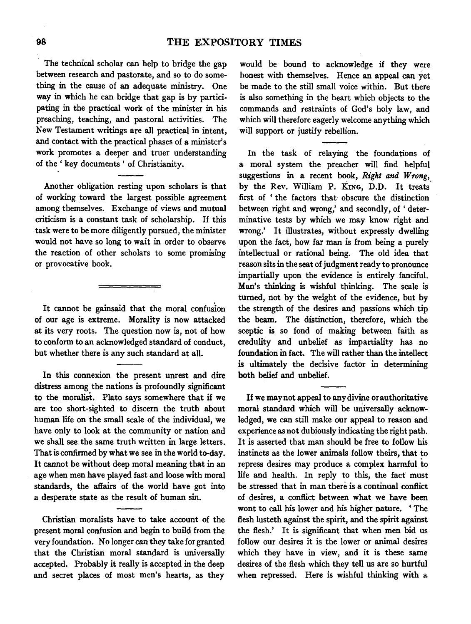The technical scholar can help to bridge the gap between research and pastorate, and so to do something in the cause of an adequate ministry. One way in which he can bridge that gap is by participating in the practical work of the minister in his preaching, teaching, and pastoral activities. The New Testament writings are all practical in intent, and contact with the practical phases of a minister's work promotes a deeper and truer understanding of the' key documents' of Christianity.

Another obligation resting upon scholars is that of working toward the largest possible agreement among themselves. Exchange of views and mutual criticism is a constant task of scholarship. If this task were to be more diligently pursued, the minister would not have so long to wait in order to observe the reaction of other scholars to some promising or provocative book.

It cannot be gainsaid that the moral confusion of our age is extreme. Morality is now attacked at its very roots. The question now is, not of how to conform to an acknowledged standard of conduct, but whether there is any such standard at all.

In this connexion the present unrest and dire distress among the nations is profoundly significant to the moralist. Plato says somewhere that if we are too short-sighted to discern the truth about human life on the small scale of the individual, we have only to look at the community or nation and we shall see the same truth written in large letters. That is confirmed by what we see in the world to-day. It cannot be without deep moral meaning that in an age when men have played fast and loose with moral standards, the affairs of the world have got into a desperate state as the result of human sin.

Christian moralists have to take account of the present moral confusion and begin to build from the very foundation. No longer can they take for granted that the Christian moral standard is universally accepted. Probably it really is accepted in the deep and secret places of most men's hearts, as they

would be bound to acknowledge if they were honest with themselves. Hence an appeal can yet be made to the still small voice within. But there is also something in the heart which objects to the commands and restraints of God's holy law, and which will therefore eagerly welcome anything which will support or justify rebellion.

In the task of relaying the foundations of a moral system the preacher will find helpful suggestions in a recent book, *Right and Wrong,*  by the Rev. William P. KING, D.D. It treats first of 'the factors that obscure the distinction between right and wrong,' and secondly, of 'determinative tests by which we may know right and wrong.' It illustrates, without expressly dwelling upon the fact, how far man is from being a purely intellectual or rational being. The old idea that reason sits in the seat of judgment ready to pronounce impartially upon the evidence is entirely fanciful. Man's thinking is wishful thinking. The scale is turned, not by the weight of the evidence, but by the strength of the desires and passions which tip the beam. The distinction, therefore, which the sceptic is so fond of making between faith as credulity and unbelief as impartiality has no foundation in fact. The will rather than the intellect is ultimately the decisive factor in determining both belief and unbelief.

If we may not appeal to any divine or authoritative moral standard which will be universally acknowledged, we can still make our appeal to reason and experience as not dubiously indicating the right path. It is asserted that man should be free to follow his instincts as the lower animals follow theirs, that to repress desires may produce a complex harmful to life and health. In reply to this, the fact must be stressed that in man there is a continual conflict of desires, a conflict between what we have been wont to call his lower and his higher nature. ' The flesh lusteth against the spirit, and the spirit against the flesh.' It is significant that when men bid us follow our desires it is the lower or animal desires which they have in view, and it is these same desires of the flesh which they tell us are so hurtful when repressed. Here is wishful thinking with a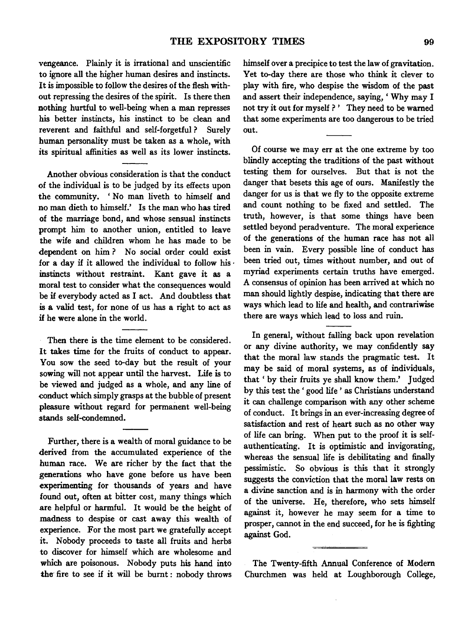vengeance. Plainly it is irrational and unscientific to ignore all the higher human desires and instincts. It is impossible to follow the desires of the flesh without repressing the desires of the spirit. Is there then nothing hurtful to well-being when a man represses his better instincts, his instinct to be clean and reverent and faithful and self-forgetful ? Surely human personality must be taken as a whole, with its spiritual affinities as well as its lower instincts.

Another obvious consideration is that the conduct of the individual is to be judged by its effects upon the community. 'No man liveth to himself and no man dieth to himself.' Is the man who has tired of the marriage bond, and whose sensual instincts prompt him to another union, entitled to leave the wife and children whom he has made to be dependent on him ? No social order could exist for a day if it allowed the individual to follow his  $\cdot$ instincts without restraint. Kant gave it as a moral test to consider what the consequences would be if everybody acted as I act. And doubtless that is a valid test, for none of us has a right to act as if he were alone in the world.

Then there is the time element to be considered. It takes time for the fruits of conduct to appear. You sow the seed to-day but the result of your sowing will not appear until the harvest. Life is to be viewed and judged as a whole, and any line of conduct which simply grasps at the bubble of present pleasure without regard for permanent well-being stands self-condemned.

Further, there is a wealth of moral guidance to be derived from the accumulated experience of the human race. We are richer by the fact that the generations who have gone before us have been experimenting for thousands of years and have found out, often at bitter cost, many things which are helpful or harmful. It would be the height of madness to despise or cast away this wealth of experience. For the most part we gratefully accept it. Nobody proceeds to taste all fruits and herbs to discover for himself which are wholesome and which are poisonous. Nobody puts his hand into the fire to see if it will be burnt: nobody throws

himself over a precipice to test the law of gravitation. Yet to-day there are those who think it clever to play with fire, who despise the wisdom of the past and assert their independence, saying, ' Why may I not try it out for myself ? ' They need to be warned that some experiments are too dangerous to be tried out.

Of course we may err at the one extreme by too blindly accepting the traditions of the past without testing them for ourselves. But that is not the danger that besets this age of ours. Manifestly the danger for us is that we fly to the opposite extreme and count nothing to be fixed and settled. The truth, however, is that some things have been settled beyond peradventure. The moral experience of the generations of the human race has not all been in vain. Every possible line of conduct has been tried out, times without number, and out of myriad experiments certain truths have emerged. A consensus of opinion has been arrived at which no man should lightly despise, indicating that there are ways which lead to life and health, and contrariwise there are ways which lead to loss and ruin.

In general, without falling back upon revelation or any divine authority, we may confidently say that the moral law stands the pragmatic test. It may be said of moral systems, as of individuals, that ' by their fruits ye shall know them.' Judged by this test the ' good life ' as Christians understand it can challenge comparison with any other scheme of conduct. It brings in an ever-increasing degree of satisfaction and rest of heart such as no other way of life can bring. When put to the proof it is selfauthenticating. It is optimistic and invigorating, whereas the sensual life is debilitating and finally pessimistic. So obvious is this that it strongly suggests the conviction that the moral law rests on a divine sanction and is in harmony with the order of the universe. He, therefore, who sets himself against it, however he may seem for a time to prosper, cannot in the end succeed, for he is fighting against God.

The Twenty-fifth Annual Conference of Modem Churchmen was held at Loughborough College,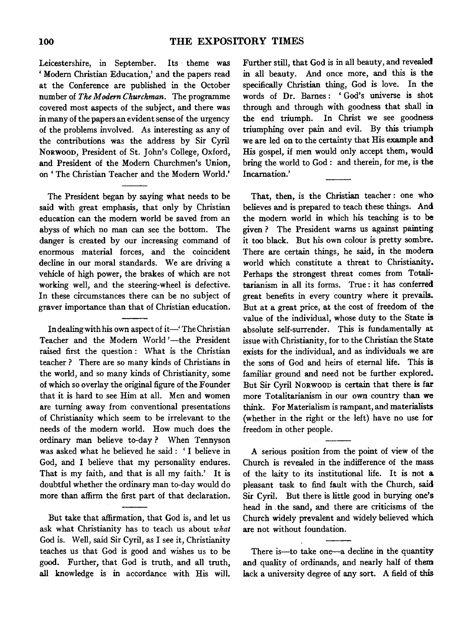Leicestershire, in September. Its · theme was 'Modem Christian Education,' and the papers read at the Conference are published in the October number of *The Modern Churchman*. The programme covered most aspects of the subject, and there was in many of the papers an evident sense of the urgency of the problems involved. As interesting as any of the contributions was the address by Sir Cyril NoRwoon, President of St. John's College, Oxford, and President of the Modem Churchmen's Union, on' The Christian Teacher and the Modem World.'

The President began by saying what needs to be said with great emphasis, that only by Christian education can the modem world be saved from an abyss of which no man can see the bottom. The danger is created by our increasing command of enormous material forces, and the coincident decline in our moral standards. We are driving a vehicle of high power, the brakes of which are not working well, and the steering-wheel is defective. In these circumstances there can be no subject of graver importance than that of Christian education.

In dealing with his own aspect of it-' The Christian Teacher and the Modern World '-the President raised first the question : What is the Christian teacher ? There are so many kinds of Christians in the world, and so many kinds of Christianity, some of which so overlay the original figure of the Founder that it is hard to see Him at all. Men and women are turning away from conventional presentations of Christianity which seem to be irrelevant to the needs of the modem world. How much does the ordinary man believe to-day? When Tennyson was asked what he believed he said : ' I believe in God, and I believe that my personality endures. That is my faith, and that is all my faith.' It is doubtful whether the ordinary man to-day would do more than affirm the first part of that declaration.

But take that affirmation, that God is, and let us ask what Christianity has to teach us about *what*  God is. Well, said Sir Cyril, as I see it, Christianity teaches us that God is good and wishes us to be good. Further, that God is truth, and all truth, all knowledge is in accordance with His will.

Further still, that God is in all beauty, and revealed in all beauty. And once more, and this is the specifically Christian thing, God is love. In the words of Dr. Bames: 'God's universe is shot through and through with goodness that shall in the end triumph. In Christ we see goodness triumphing over pain and evil. By this triumph we are led on to the certainty that His example and His gospel, if men would only accept them, would bring the world to God : and therein, for me, is the Incarnation.'

That, then, is the Christian teacher: one who believes and is prepared to teach these things. And the modem world in which his teaching is to be given ? The President warns us against painting it too black. But his own colour is pretty sombre. There are certain things, he said, in the modem world which constitute a threat to Christianity. Perhaps the strongest threat comes from Totalitarianism in all its forms. True : it has conferred great benefits in every country where it prevails. But at a great price, at the cost of freedom of the value of the individual, whose duty to the State is absolute self-surrender. This is fundamentally at issue with Christianity, for to the Christian the State exists for the individual, and as individuals we are the sons of God and heirs of eternal life. This is familiar ground and need not be further explored. But Sir Cyril NORWOOD is certain that there is far more Totalitarianism in our own country than we think. For Materialism is rampant, and materialists (whether in the right or the left) have no use for freedom in other people.

A serious position from the point of view of the Church is revealed in the indifference of the mass of the laity to its institutional life. It is not a pleasant task to find fault with the Church, said Sir Cyril. But there is little good in burying one's head in . the sand, and there are criticisms of the Church widely prevalent and widely believed which are not without foundation.

There is-to take one-a decline in the quantity and quality of ordinands, and nearly half of them lack a university degree of any sort. A field of this